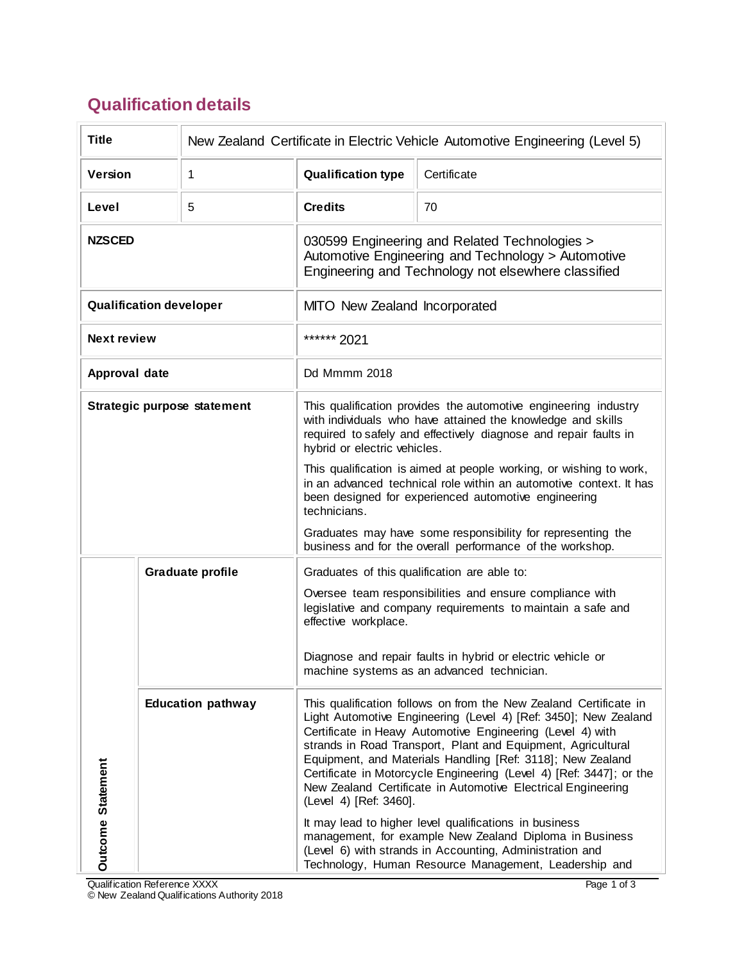## **Qualification details**

| <b>Title</b>                   |  | New Zealand Certificate in Electric Vehicle Automotive Engineering (Level 5)                                                                                                                                                       |                                                                                                                                                 |                                                                                                                                                                                                                                                                                                                                                                                                                                                                         |  |
|--------------------------------|--|------------------------------------------------------------------------------------------------------------------------------------------------------------------------------------------------------------------------------------|-------------------------------------------------------------------------------------------------------------------------------------------------|-------------------------------------------------------------------------------------------------------------------------------------------------------------------------------------------------------------------------------------------------------------------------------------------------------------------------------------------------------------------------------------------------------------------------------------------------------------------------|--|
| <b>Version</b>                 |  | 1                                                                                                                                                                                                                                  | <b>Qualification type</b>                                                                                                                       | Certificate                                                                                                                                                                                                                                                                                                                                                                                                                                                             |  |
| Level                          |  | 5                                                                                                                                                                                                                                  | <b>Credits</b>                                                                                                                                  | 70                                                                                                                                                                                                                                                                                                                                                                                                                                                                      |  |
| <b>NZSCED</b>                  |  | 030599 Engineering and Related Technologies ><br>Automotive Engineering and Technology > Automotive<br>Engineering and Technology not elsewhere classified                                                                         |                                                                                                                                                 |                                                                                                                                                                                                                                                                                                                                                                                                                                                                         |  |
| <b>Qualification developer</b> |  | MITO New Zealand Incorporated                                                                                                                                                                                                      |                                                                                                                                                 |                                                                                                                                                                                                                                                                                                                                                                                                                                                                         |  |
| <b>Next review</b>             |  |                                                                                                                                                                                                                                    | ****** 2021                                                                                                                                     |                                                                                                                                                                                                                                                                                                                                                                                                                                                                         |  |
| Approval date                  |  |                                                                                                                                                                                                                                    | Dd Mmmm 2018                                                                                                                                    |                                                                                                                                                                                                                                                                                                                                                                                                                                                                         |  |
| Strategic purpose statement    |  | This qualification provides the automotive engineering industry<br>with individuals who have attained the knowledge and skills<br>required to safely and effectively diagnose and repair faults in<br>hybrid or electric vehicles. |                                                                                                                                                 |                                                                                                                                                                                                                                                                                                                                                                                                                                                                         |  |
|                                |  |                                                                                                                                                                                                                                    | technicians.                                                                                                                                    | This qualification is aimed at people working, or wishing to work,<br>in an advanced technical role within an automotive context. It has<br>been designed for experienced automotive engineering                                                                                                                                                                                                                                                                        |  |
|                                |  | Graduates may have some responsibility for representing the<br>business and for the overall performance of the workshop.                                                                                                           |                                                                                                                                                 |                                                                                                                                                                                                                                                                                                                                                                                                                                                                         |  |
| <b>Graduate profile</b>        |  | Graduates of this qualification are able to:                                                                                                                                                                                       |                                                                                                                                                 |                                                                                                                                                                                                                                                                                                                                                                                                                                                                         |  |
|                                |  |                                                                                                                                                                                                                                    | Oversee team responsibilities and ensure compliance with<br>legislative and company requirements to maintain a safe and<br>effective workplace. |                                                                                                                                                                                                                                                                                                                                                                                                                                                                         |  |
| <b>Outcome Statement</b>       |  |                                                                                                                                                                                                                                    | Diagnose and repair faults in hybrid or electric vehicle or<br>machine systems as an advanced technician.                                       |                                                                                                                                                                                                                                                                                                                                                                                                                                                                         |  |
|                                |  | <b>Education pathway</b>                                                                                                                                                                                                           | (Level 4) [Ref: 3460].                                                                                                                          | This qualification follows on from the New Zealand Certificate in<br>Light Automotive Engineering (Level 4) [Ref: 3450]; New Zealand<br>Certificate in Heavy Automotive Engineering (Level 4) with<br>strands in Road Transport, Plant and Equipment, Agricultural<br>Equipment, and Materials Handling [Ref: 3118]; New Zealand<br>Certificate in Motorcycle Engineering (Level 4) [Ref: 3447]; or the<br>New Zealand Certificate in Automotive Electrical Engineering |  |
|                                |  |                                                                                                                                                                                                                                    |                                                                                                                                                 | It may lead to higher level qualifications in business<br>management, for example New Zealand Diploma in Business<br>(Level 6) with strands in Accounting, Administration and<br>Technology, Human Resource Management, Leadership and                                                                                                                                                                                                                                  |  |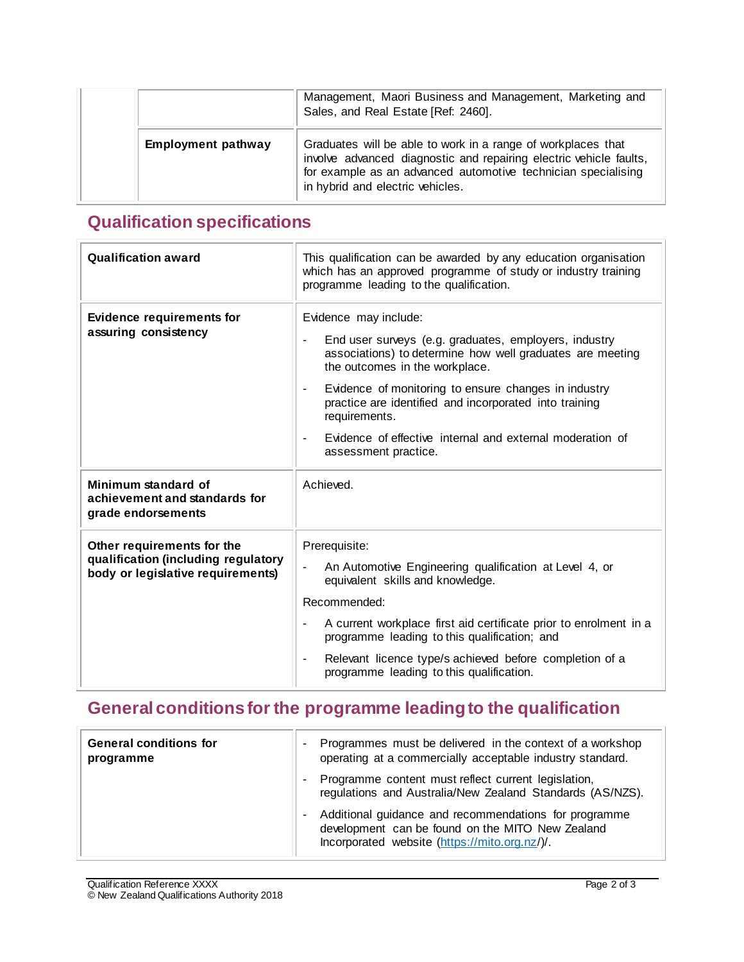|                           | Management, Maori Business and Management, Marketing and<br>Sales, and Real Estate [Ref: 2460].                                                                                                                                         |
|---------------------------|-----------------------------------------------------------------------------------------------------------------------------------------------------------------------------------------------------------------------------------------|
| <b>Employment pathway</b> | Graduates will be able to work in a range of workplaces that<br>involve advanced diagnostic and repairing electric vehicle faults,<br>for example as an advanced automotive technician specialising<br>in hybrid and electric vehicles. |

## **Qualification specifications**

| <b>Qualification award</b>                                                                             | This qualification can be awarded by any education organisation<br>which has an approved programme of study or industry training<br>programme leading to the qualification.                                                                                                                                                                                                                                                               |  |
|--------------------------------------------------------------------------------------------------------|-------------------------------------------------------------------------------------------------------------------------------------------------------------------------------------------------------------------------------------------------------------------------------------------------------------------------------------------------------------------------------------------------------------------------------------------|--|
| <b>Evidence requirements for</b><br>assuring consistency                                               | Evidence may include:<br>End user surveys (e.g. graduates, employers, industry<br>$\blacksquare$<br>associations) to determine how well graduates are meeting<br>the outcomes in the workplace.<br>Evidence of monitoring to ensure changes in industry<br>$\blacksquare$<br>practice are identified and incorporated into training<br>requirements.<br>Evidence of effective internal and external moderation of<br>assessment practice. |  |
| Minimum standard of<br>achievement and standards for<br>grade endorsements                             | Achieved.                                                                                                                                                                                                                                                                                                                                                                                                                                 |  |
| Other requirements for the<br>qualification (including regulatory<br>body or legislative requirements) | Prerequisite:<br>An Automotive Engineering qualification at Level 4, or<br>$\overline{\phantom{a}}$<br>equivalent skills and knowledge.<br>Recommended:<br>A current workplace first aid certificate prior to enrolment in a<br>programme leading to this qualification; and<br>Relevant licence type/s achieved before completion of a<br>$\blacksquare$<br>programme leading to this qualification.                                     |  |

## **General conditionsfor the programme leading to the qualification**

| <b>General conditions for</b><br>programme | Programmes must be delivered in the context of a workshop<br>operating at a commercially acceptable industry standard.                                     |
|--------------------------------------------|------------------------------------------------------------------------------------------------------------------------------------------------------------|
|                                            | Programme content must reflect current legislation,<br>regulations and Australia/New Zealand Standards (AS/NZS).                                           |
|                                            | Additional guidance and recommendations for programme<br>development can be found on the MITO New Zealand<br>Incorporated website (https://mito.org.nz/)/. |